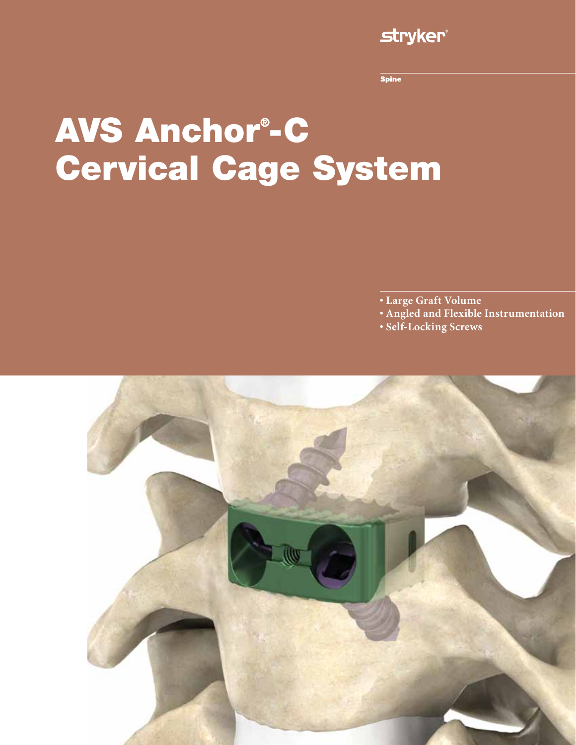### **stryker**

**Spine** 

# AVS Anchor® -C Cervical Cage System

- **Large Graft Volume**
- **Angled and Flexible Instrumentation**
- **Self-Locking Screws**